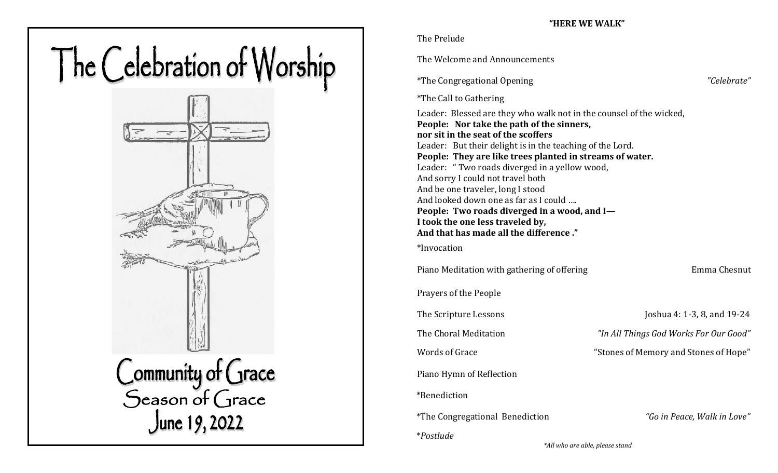# The Celebration of Worship Community of Grace<br>Season of Grace<br>June 19, 2022

The Prelude

The Welcome and Announcements

\*The Congregational Opening *"Celebrate"*

\*The Call to Gathering

Leader: Blessed are they who walk not in the counsel of the wicked, **People: Nor take the path of the sinners, nor sit in the seat of the scoffers** Leader: But their delight is in the teaching of the Lord. **People: They are like trees planted in streams of water.** Leader: " Two roads diverged in a yellow wood, And sorry I could not travel both And be one traveler, long I stood And looked down one as far as I could …. **People: Two roads diverged in a wood, and I— I took the one less traveled by, And that has made all the difference ."**

\*Invocation

Piano Meditation with gathering of offering Theorem 2012 Emma Chesnut

Prayers of the People

Piano Hymn of Reflection

\*Benediction

\*The Congregational Benediction *"Go in Peace, Walk in Love"* 

\**Postlude* 

The Scripture Lessons Joshua 4: 1-3, 8, and 19-24

The Choral Meditation *"In All Things God Works For Our Good"* 

Words of Grace  $\blacksquare$  "Stones of Memory and Stones of Hope"

 *\*All who are able, please stand*